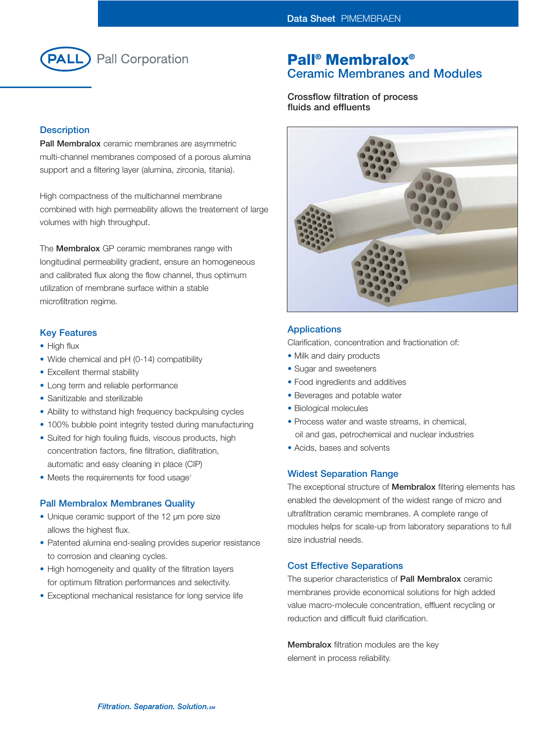

## **Description**

**Pall Membralox** ceramic membranes are asymmetric multi-channel membranes composed of a porous alumina support and a filtering layer (alumina, zirconia, titania).

High compactness of the multichannel membrane combined with high permeability allows the treatement of large volumes with high throughput.

The **Membralox** GP ceramic membranes range with longitudinal permeability gradient, ensure an homogeneous and calibrated flux along the flow channel, thus optimum utilization of membrane surface within a stable microfiltration regime.

## **Key Features**

- High flux
- Wide chemical and pH (0-14) compatibility
- Excellent thermal stability
- Long term and reliable performance
- Sanitizable and sterilizable
- Ability to withstand high frequency backpulsing cycles
- 100% bubble point integrity tested during manufacturing
- Suited for high fouling fluids, viscous products, high concentration factors, fine filtration, diafiltration, automatic and easy cleaning in place (CIP)
- Meets the requirements for food usage<sup>1</sup>

## **Pall Membralox Membranes Quality**

- Unique ceramic support of the 12 µm pore size allows the highest flux.
- Patented alumina end-sealing provides superior resistance to corrosion and cleaning cycles.
- High homogeneity and quality of the filtration layers for optimum filtration performances and selectivity.
- Exceptional mechanical resistance for long service life

## **Pall® Membralox® Ceramic Membranes and Modules**

**Crossflow filtration of process fluids and effluents**



## **Applications**

Clarification, concentration and fractionation of:

- Milk and dairy products
- Sugar and sweeteners
- Food ingredients and additives
- Beverages and potable water
- Biological molecules
- Process water and waste streams, in chemical, oil and gas, petrochemical and nuclear industries
- Acids, bases and solvents

## **Widest Separation Range**

The exceptional structure of **Membralox** filtering elements has enabled the development of the widest range of micro and ultrafiltration ceramic membranes. A complete range of modules helps for scale-up from laboratory separations to full size industrial needs.

## **Cost Effective Separations**

The superior characteristics of **Pall Membralox** ceramic membranes provide economical solutions for high added value macro-molecule concentration, effluent recycling or reduction and difficult fluid clarification.

**Membralox** filtration modules are the key element in process reliability.